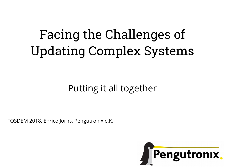# Facing the Challenges of Updating Complex Systems

#### Putting it all together

FOSDEM 2018, Enrico Jörns, Pengutronix e.K.

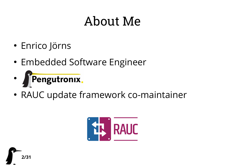#### About Me

- Enrico Jörns
- Embedded Software Engineer
- Pengutronix.  $\bullet$
- RAUC update framework co-maintainer



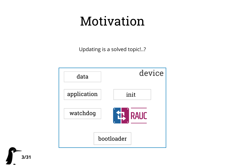# Motivation

Updating is a solved topic!..?

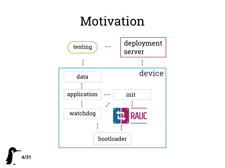#### Motivation

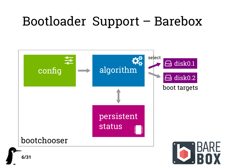#### Bootloader Support – Barebox

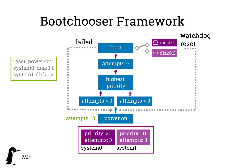#### Bootchooser Framework

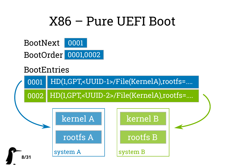#### X86 – Pure UEFI Boot



#### **BootEntries**

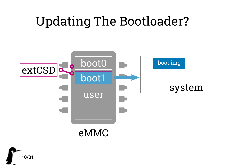# Updating The Bootloader?



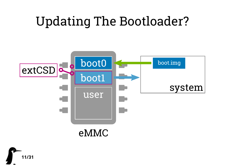# Updating The Bootloader?



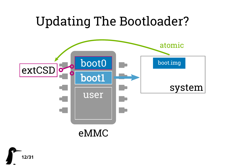

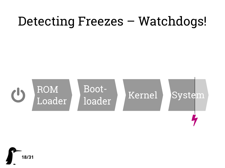#### Detecting Freezes – Watchdogs!



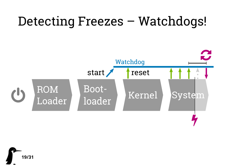#### Detecting Freezes – Watchdogs!



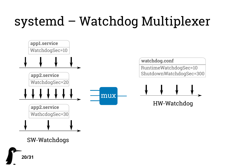# systemd – Watchdog Multiplexer

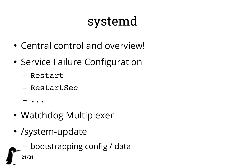# systemd

- Central control and overview!
- Service Failure Configuration
	- Restart
	- RestartSec
	- ...
- Watchdog Multiplexer
- /system-update
	- bootstrapping config / data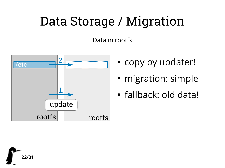# Data Storage / Migration

Data in rootfs



- copy by updater!
- migration: simple
- fallback: old data!

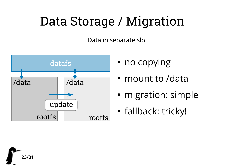# Data Storage / Migration

Data in separate slot



- 
- mount to /data
- migration: simple
- fallback: tricky!

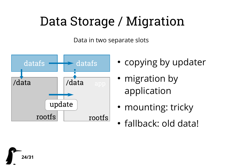# Data Storage / Migration

Data in two separate slots



- copying by updater
- migration by application
- mounting: tricky
- fallback: old data!

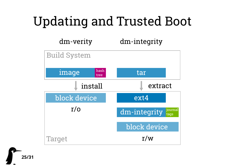# Updating and Trusted Boot

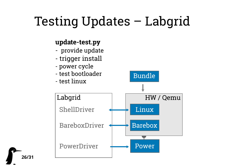# Testing Updates – Labgrid

#### **update-test.py**

- provide update
- trigger install
- power cycle
- test bootloader

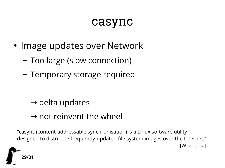#### casync

- Image updates over Network
	- Too large (slow connection)
	- Temporary storage required

- $\rightarrow$  delta updates
- $\rightarrow$  not reinvent the wheel

"casync (content-addressable synchronisation) is a Linux software utility designed to distribute frequently-updated file system images over the Internet." [Wikipedia]

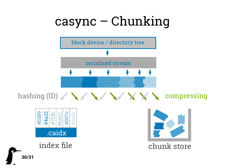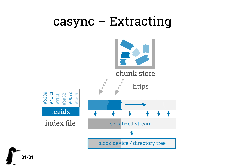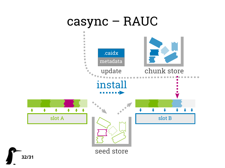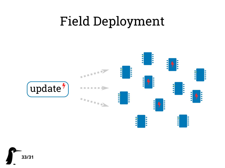#### Field Deployment



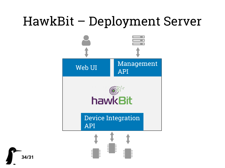#### HawkBit – Deployment Server

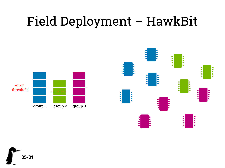# Field Deployment – HawkBit





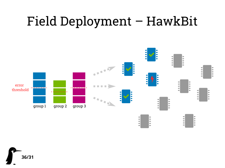#### Field Deployment – HawkBit

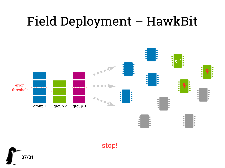# Field Deployment – HawkBit



stop!

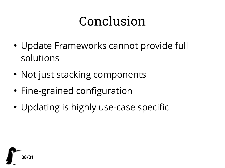# Conclusion

- Update Frameworks cannot provide full solutions
- Not just stacking components
- Fine-grained configuration
- Updating is highly use-case specific

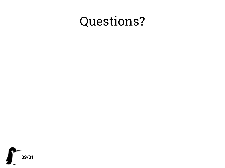#### Questions?